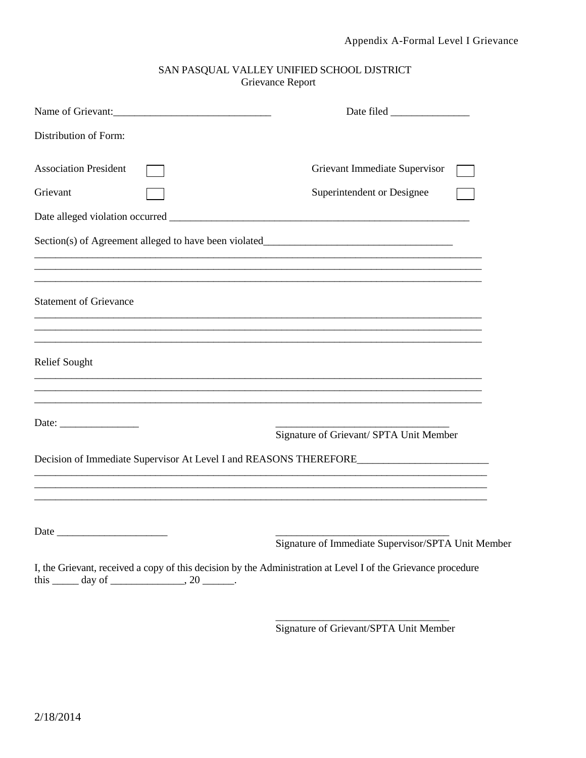## SAN PASQUAL VALLEY UNIFIED SCHOOL DJSTRICT Grievance Report

| Name of Grievant:                                                                                                                                                         |                                                    |
|---------------------------------------------------------------------------------------------------------------------------------------------------------------------------|----------------------------------------------------|
| Distribution of Form:                                                                                                                                                     |                                                    |
| <b>Association President</b>                                                                                                                                              | Grievant Immediate Supervisor                      |
| Grievant                                                                                                                                                                  | Superintendent or Designee                         |
|                                                                                                                                                                           |                                                    |
| Section(s) of Agreement alleged to have been violated____________________________                                                                                         |                                                    |
| <b>Statement of Grievance</b><br>,我们也不能在这里的人,我们也不能在这里的人,我们也不能在这里的人,我们也不能在这里的人,我们也不能在这里的人,我们也不能在这里的人,我们也不能在这里的人,我们也                                                        |                                                    |
| <b>Relief Sought</b><br><u> 1989 - Johann Stoff, amerikan bestein besteht aus dem Berlin besteht aus dem Berlin besteht aus dem Berlin be</u>                             |                                                    |
|                                                                                                                                                                           | Signature of Grievant/ SPTA Unit Member            |
| Decision of Immediate Supervisor At Level I and REASONS THEREFORE<br><u> 1989 - John Stein, Amerikaansk politiker († 1908)</u>                                            |                                                    |
|                                                                                                                                                                           | Signature of Immediate Supervisor/SPTA Unit Member |
| I, the Grievant, received a copy of this decision by the Administration at Level I of the Grievance procedure<br>this $\_\_\_\$ day of $\_\_\_\_\_\$ , 20 $\_\_\_\_\_\$ . |                                                    |

\_\_\_\_\_\_\_\_\_\_\_\_\_\_\_\_\_\_\_\_\_\_\_\_\_\_\_\_\_\_\_\_\_ Signature of Grievant/SPTA Unit Member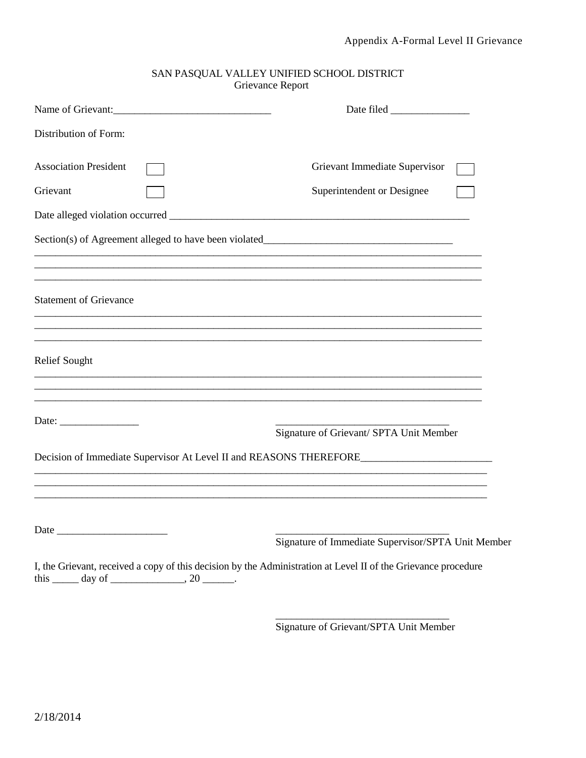| SAN PASQUAL VALLEY UNIFIED SCHOOL DISTRICT |  |
|--------------------------------------------|--|
| Grievance Report                           |  |

| Name of Grievant:                                        |                                                                                                                                                                                             |
|----------------------------------------------------------|---------------------------------------------------------------------------------------------------------------------------------------------------------------------------------------------|
| Distribution of Form:                                    |                                                                                                                                                                                             |
| <b>Association President</b>                             | Grievant Immediate Supervisor                                                                                                                                                               |
| Grievant                                                 | Superintendent or Designee                                                                                                                                                                  |
|                                                          |                                                                                                                                                                                             |
|                                                          | Section(s) of Agreement alleged to have been violated____________________________                                                                                                           |
| <b>Statement of Grievance</b>                            | <u> 1989 - Johann Stoff, amerikansk politiker (d. 1989)</u>                                                                                                                                 |
| <b>Relief Sought</b>                                     | <u> 1989 - Johann Stoff, amerikansk politiker (d. 1989)</u>                                                                                                                                 |
| Date: $\qquad \qquad$                                    | <u> 1989 - Johann Stoff, deutscher Stoff, der Stoff, der Stoff, der Stoff, der Stoff, der Stoff, der Stoff, der S</u><br>Signature of Grievant/ SPTA Unit Member                            |
|                                                          | Decision of Immediate Supervisor At Level II and REASONS THEREFORE<br><u> 1989 - Johann Stoff, deutscher Stoff, der Stoff, der Stoff, der Stoff, der Stoff, der Stoff, der Stoff, der S</u> |
|                                                          |                                                                                                                                                                                             |
|                                                          | Signature of Immediate Supervisor/SPTA Unit Member                                                                                                                                          |
| this $\_\_\_\$ day of $\_\_\_\_\_\$ , 20 $\_\_\_\_\_\$ . | I, the Grievant, received a copy of this decision by the Administration at Level II of the Grievance procedure                                                                              |

\_\_\_\_\_\_\_\_\_\_\_\_\_\_\_\_\_\_\_\_\_\_\_\_\_\_\_\_\_\_\_\_\_ Signature of Grievant/SPTA Unit Member